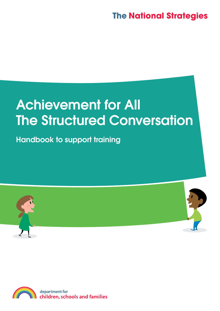# **The National Strategies**

# Achievement for All The Structured Conversation

Handbook to support training



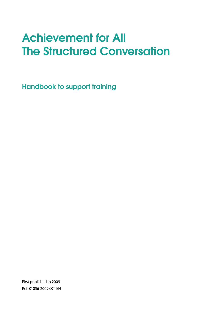# Achievement for All **The Structured Conversation**

Handbook to support training

First published in 2009 Ref: 01056-2009BKT-EN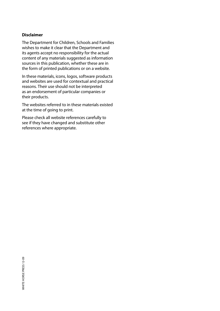#### **Disclaimer**

The Department for Children, Schools and Families wishes to make it clear that the Department and its agents accept no responsibility for the actual content of any materials suggested as information sources in this publication, whether these are in the form of printed publications or on a website.

In these materials, icons, logos, software products and websites are used for contextual and practical reasons. Their use should not be interpreted as an endorsement of particular companies or their products.

The websites referred to in these materials existed at the time of going to print.

Please check all website references carefully to see if they have changed and substitute other references where appropriate.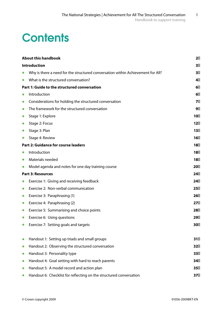# **Contents**

|           | <b>About this handbook</b>                                                      | $\mathbf{2}$ |  |  |  |  |
|-----------|---------------------------------------------------------------------------------|--------------|--|--|--|--|
|           | <b>Introduction</b>                                                             | 3            |  |  |  |  |
| $\bullet$ | Why is there a need for the structured conversation within Achievement for All? | 3            |  |  |  |  |
| $\bullet$ | What is the structured conversation?                                            |              |  |  |  |  |
|           | Part 1: Guide to the structured conversation                                    | 6            |  |  |  |  |
| $\bullet$ | Introduction                                                                    | 6            |  |  |  |  |
| $\bullet$ | Considerations for holding the structured conversation                          | 7            |  |  |  |  |
| $\bullet$ | The framework for the structured conversation                                   |              |  |  |  |  |
| $\bullet$ | Stage 1: Explore                                                                | 10           |  |  |  |  |
| $\bullet$ | Stage 2: Focus                                                                  | 12           |  |  |  |  |
| $\bullet$ | Stage 3: Plan                                                                   | 13           |  |  |  |  |
| $\bullet$ | Stage 4: Review                                                                 | 16           |  |  |  |  |
|           | <b>Part 2: Guidance for course leaders</b>                                      | 18           |  |  |  |  |
| $\bullet$ | Introduction                                                                    | 18           |  |  |  |  |
| $\bullet$ | Materials needed                                                                | 18           |  |  |  |  |
| $\bullet$ | Model agenda and notes for one day training course                              | 20           |  |  |  |  |
|           | <b>Part 3: Resources</b>                                                        | 24           |  |  |  |  |
| $\bullet$ | Exercise 1: Giving and receiving feedback                                       | 24           |  |  |  |  |
| $\bullet$ | Exercise 2: Non-verbal communication                                            | 25           |  |  |  |  |
| $\bullet$ | Exercise 3: Paraphrasing (1)                                                    | 26           |  |  |  |  |
| $\bullet$ | Exercise 4: Paraphrasing (2)                                                    | 27           |  |  |  |  |
| $\bullet$ | Exercise 5: Summarising and choice points                                       | 28           |  |  |  |  |
| $\bullet$ | Exercise 6: Using questions                                                     | 29           |  |  |  |  |
| $\bullet$ | Exercise 7: Setting goals and targets                                           | 30           |  |  |  |  |
|           |                                                                                 |              |  |  |  |  |
| $\bullet$ | Handout 1: Setting up triads and small groups                                   | 31           |  |  |  |  |
| $\bullet$ | Handout 2: Observing the structured conversation                                | 32           |  |  |  |  |
| $\bullet$ | Handout 3: Personality type                                                     | 33           |  |  |  |  |
| $\bullet$ | Handout 4: Goal setting with hard to reach parents                              | 34           |  |  |  |  |
| $\bullet$ | Handout 5: A model record and action plan                                       | 35           |  |  |  |  |
|           | Handout 6: Checklist for reflecting on the structured conversation              | 37           |  |  |  |  |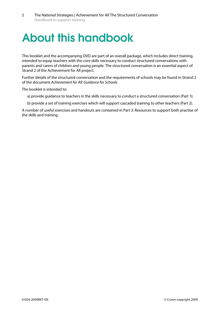# About this handbook

This booklet and the accompanying DVD are part of an overall package, which includes direct training, intended to equip teachers with the core skills necessary to conduct structured conversations with parents and carers of children and young people. The structured conversation is an essential aspect of Strand 2 of the Achievement for All project.

Further details of the structured conversation and the requirements of schools may be found in Strand 2 of the document *Achievement for All: Guidance for Schools*.

The booklet is intended to:

a) provide guidance to teachers in the skills necessary to conduct a structured conversation (Part 1);

b) provide a set of training exercises which will support cascaded training to other teachers (Part 2).

A number of useful exercises and handouts are contained in Part 3: Resources to support both practise of the skills and training.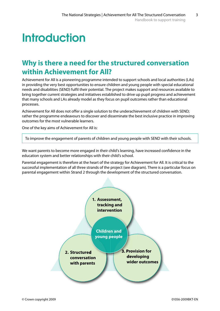# **Introduction**

# **Why is there a need for the structured conversation within Achievement for All?**

Achievement for All is a pioneering programme intended to support schools and local authorities (LAs) in providing the very best opportunities to ensure children and young people with special educational needs and disabilities (SEND) fulfil their potential. The project makes support and resources available to bring together current strategies and initiatives established to drive up pupil progress and achievement that many schools and LAs already model as they focus on pupil outcomes rather than educational processes. 

Achievement for All does not offer a single solution to the underachievement of children with SEND; rather the programme endeavours to discover and disseminate the best inclusive practice in improving outcomes for the most vulnerable learners.

One of the key aims of Achievement for All is:

To improve the engagement of parents of children and young people with SEND with their schools.

We want parents to become more engaged in their child's learning, have increased confidence in the education system and better relationships with their child's school.

Parental engagement is therefore at the heart of the strategy for Achievement for All. It is critical to the successful implementation of all three strands of the project (see diagram). There is a particular focus on parental engagement within Strand 2 through the development of the structured conversation.

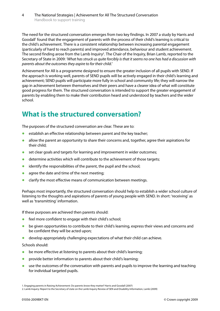The need for the structured conversation emerges from two key findings. In 2007 a study by Harris and Goodall<sup>1</sup> found that the engagement of parents with the process of their child's learning is critical to the child's achievement. There is a consistent relationship between increasing parental engagement (particularly of hard to reach parents) and improved attendance, behaviour and student achievement. The second finding arose from the Lamb Inquiry<sup>2</sup>. The Chair of the Inquiry, Brian Lamb, reported to the Secretary of State in 2009: *'What has struck us quite forcibly is that it seems no one has had a discussion with parents about the outcomes they aspire to for their child.'* 

Achievement for All is a programme designed to ensure the greater inclusion of all pupils with SEND. If the approach is working well, parents of SEND pupils will be actively engaged in their child's learning and achievement; SEND pupils will participate more fully in school and community life; they will narrow the gap in achievement between themselves and their peers and have a clearer idea of what will constitute good progress for them. The structured conversation is intended to support the greater engagement of parents by enabling them to make their contribution heard and understood by teachers and the wider school.

# **What is the structured conversation?**

The purposes of the structured conversation are clear. These are to:

- establish an effective relationship between parent and the key teacher;
- **•** allow the parent an opportunity to share their concerns and, together, agree their aspirations for their child;
- **•** set clear goals and targets for learning and improvement in wider outcomes;
- **•** determine activities which will contribute to the achievement of those targets;
- **•** identify the responsibilities of the parent, the pupil and the school;
- **•** agree the date and time of the next meeting;
- **•** clarify the most effective means of communication between meetings.

Perhaps most importantly, the structured conversation should help to establish a wider school culture of listening to the thoughts and aspirations of parents of young people with SEND. In short: 'receiving' as well as 'transmitting' information.

If these purposes are achieved then parents should:

- feel more confident to engage with their child's school;
- be given opportunities to contribute to their child's learning, express their views and concerns and be confident they will be acted upon;
- **•** develop appropriately challenging expectations of what their child can achieve.

Schools should:

- be more effective at listening to parents about their child's learning;
- **•** provide better information to parents about their child's learning;
- **•** use the outcomes of the conversation with parents and pupils to improve the learning and teaching for individual targeted pupils.

<sup>1.</sup> Engaging parents in Raising Achievement: Do parents know they matter? Harris and Goodall (2007)

<sup>2.</sup> Lamb Inquiry: Report to the Secretary of state on the Lamb Inquiry Review of SEN and Disability Information, Lamb (2009)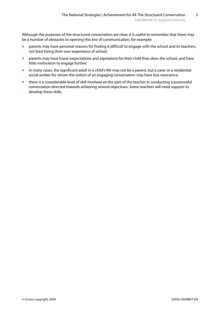Although the purposes of the structured conversation are clear, it is useful to remember that there may be a number of obstacles to opening this line of communication, for example:

- **•** parents may have personal reasons for finding it difficult to engage with the school and its teachers, not least being their own experience of school;
- **•** parents may have lower expectations and aspirations for their child than does the school, and have little motivation to engage further;
- **•** in many cases, the significant adult in a child's life may not be a parent, but a carer or a residential social worker for whom the notion of an engaging conversation may have less resonance;
- **•** there is a considerable level of skill involved on the part of the teacher in conducting a purposeful conversation directed towards achieving several objectives. Some teachers will need support to develop these skills.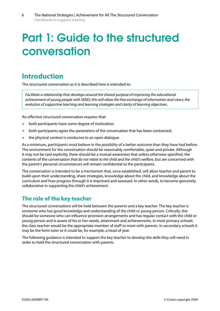# Part 1: Guide to the structured conversation

## **Introduction**

The structured conversation as it is described here is intended to:

*Facilitate a relationship that develops around the shared purpose of improving the educational achievement of young people with SEND; this will allow the free exchange of information and views; the evolution of supportive teaching and learning strategies and clarity of learning objectives.* 

An effective structured conversation requires that:

- **•** both participants have some degree of motivation;
- **•** both participants agree the parameters of the conversation that has been contracted;
- the physical context is conducive to an open dialogue.

As a minimum, participants must believe in the *possibility* of a better outcome than they have had before. The environment for the conversation should be reasonably comfortable, quiet and private. Although it may not be said explicitly, there should be a mutual awareness that unless otherwise specified, the contents of the conversation *that do not relate to the child and the child's welfare*, but are concerned with the parent's personal circumstances will remain confidential to the participants.

The conversation is intended to be a mechanism that, once established, will allow teacher and parent to build upon their understanding, share strategies, knowledge about the child, and knowledge about the curriculum and how progress through it is improved and assessed. In other words, to become genuinely collaborative in supporting the child's achievement.

### **The role of the key teacher**

The structured conversations will be held between the parents and a key teacher. The key teacher is someone who has good knowledge and understanding of the child or young person. Critically, this should be someone who can influence provision arrangements and has regular contact with the child or young person and is aware of his or her needs, attainment and achievements. In most primary schools the class teacher would be the appropriate member of staff to meet with parents. In secondary schools it may be the form tutor or it could be, for example, a head of year.

The following guidance is intended to support the key teacher to develop the skills they will need in order to hold the structured conversation with parents.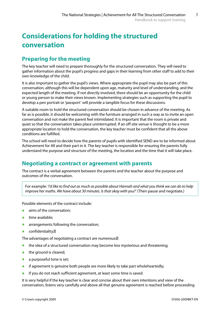# **Considerations for holding the structured conversation**

### **Preparing for the meeting**

The key teacher will need to prepare thoroughly for the structured conversation. They will need to gather information about the pupil's progress and gaps in their learning from other staff to add to their own knowledge of the child.

It is also important to gather the pupil's views. Where appropriate the pupil may also be part of this conversation, although this will be dependent upon age, maturity and level of understanding, and the expected length of the meeting. If not directly involved, there should be an opportunity for the child or young person to make their views known. Implementing strategies such as supporting the pupil to develop a pen portrait or 'passport' will provide a tangible focus for these discussions.

A suitable room to hold the structured conversation should be chosen in advance of the meeting. As far as is possible, it should be welcoming with the furniture arranged in such a way as to invite an open conversation and not make the parent feel intimidated. It is important that the room is private and quiet so that the conversation takes place uninterrupted. If an off-site venue is thought to be a more appropriate location to hold the conversation, the key teacher must be confident that all the above conditions are fulfilled.

The school will need to decide how the parents of pupils with identified SEND are to be informed about Achievement for All and their part in it. The key teacher is responsible for ensuring the parents fully understand the purpose and structure of the meeting, the location and the time that it will take place.

### **Negotiating a contract or agreement with parents**

The contract is a verbal agreement between the parents and the teacher about the purpose and outcomes of the conversation.

For example: '*I'd like to find out as much as possible about Hannah and what you think we can do to help improve her maths. We have about 30 minutes. Is that okay with you?'* (Then pause and negotiate.)

Possible elements of the contract include:

- aims of the conversation:
- **•** time available:
- **•** arrangements following the conversation:
- **•**  confidentiality.

The advantages of negotiating a contract are numerous:

- the idea of a structured conversation may become less mysterious and threatening;
- **•** the ground is cleared;
- a purposeful tone is set;
- **•** if agreement is genuine both people are more likely to take part wholeheartedly;
- **if you do not reach sufficient agreement, at least some time is saved.**

It is very helpful if the key teacher is clear and concise about their own intentions and view of the conversation, listens very carefully and above all that genuine agreement is reached before proceeding.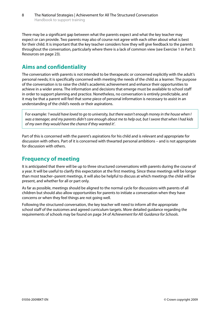There may be a significant gap between what the parents expect and what the key teacher may expect or can provide. Two parents may also of course not agree with each other about what is best for their child. It is important that the key teacher considers how they will give feedback to the parents throughout the conversation, particularly where there is a lack of common view (see Exercise 1 in Part 3: Resources on page 23).

### **Aims and confidentiality**

The conversation with parents is not intended to be therapeutic or concerned explicitly with the adult's personal needs; it is specifically concerned with meeting the needs of the child as a learner. The purpose of the conversation is to raise the child's academic achievement and enhance their opportunities to achieve in a wider arena. The information and decisions that emerge must be available to school staff in order to support planning and practice. Nonetheless, no conversation is entirely predictable, and it may be that a parent will feel that some piece of personal information is necessary to assist in an understanding of the child's needs or their aspirations.

For example: *'I would have loved to go to university, but there wasn't enough money in the house when I was a teenager, and my parents didn't care enough about me to help out, but I swore that when I had kids of my own they would have the chance if they wanted it'.* 

Part of this is concerned with the parent's aspirations for his child and is relevant and appropriate for discussion with others. Part of it is concerned with thwarted personal ambitions – and is not appropriate for discussion with others.

### **Frequency of meeting**

It is anticipated that there will be up to three structured conversations with parents during the course of a year. It will be useful to clarify this expectation at the first meeting. Since these meetings will be longer than most teacher–parent meetings, it will also be helpful to discuss at which meetings the child will be present, and whether for all or part only.

As far as possible, meetings should be aligned to the normal cycle for discussions with parents of all children but should also allow opportunities for parents to initiate a conversation when they have concerns or when they feel things are not going well.

Following the structured conversation, the key teacher will need to inform all the appropriate school staff of the outcomes and agreed curriculum targets. More detailed guidance regarding the requirements of schools may be found on page 34 of *Achievement for All: Guidance for Schools*.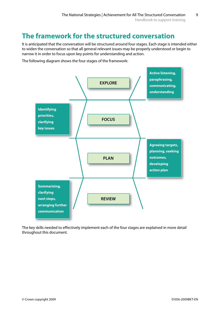# **The framework for the structured conversation**

It is anticipated that the conversation will be structured around four stages. Each stage is intended either to widen the conversation so that all general relevant issues may be properly understood or begin to narrow it in order to focus upon key points for understanding and action.

The following diagram shows the four stages of the framework:



The key skills needed to effectively implement each of the four stages are explained in more detail throughout this document.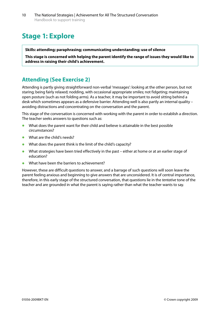# **Stage 1: Explore**

#### **Skills: attending; paraphrasing; communicating understanding; use of silence**

**This stage is concerned with helping the parent identify the range of issues they would like to address in raising their child's achievement.** 

### **Attending (See Exercise 2)**

Attending is partly giving straightforward non-verbal 'messages': looking at the other person, but not staring; being fairly relaxed; nodding, with occasional appropriate smiles; not fidgeting; maintaining open posture (such as not folding arms). As a teacher, it may be important to avoid sitting behind a desk which sometimes appears as a defensive barrier. Attending well is also partly an internal quality – avoiding distractions and concentrating on the conversation and the parent.

This stage of the conversation is concerned with working with the parent in order to establish a direction. The teacher seeks answers to questions such as:

- What does the parent want for their child and believe is attainable in the best possible circumstances?
- What are the child's needs?
- **•** What does the parent think is the limit of the child's capacity?
- **•** What strategies have been tried effectively in the past either at home or at an earlier stage of education?
- **•** What have been the barriers to achievement?

However, these are difficult questions to answer, and a barrage of such questions will soon leave the parent feeling anxious and beginning to give answers that are unconsidered. It is of central importance, therefore, in this early stage of the structured conversation, that questions lie in the *tentative* tone of the teacher and are grounded in what the parent is saying rather than what the teacher wants to say.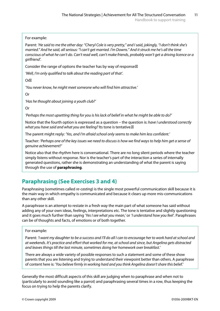For example:

Parent: *'He said to me the other day: "Cheryl Cole is very pretty," and I said, jokingly, "I don't think she's married." And he said, all serious: "I can't get married. I'm Downs." And it struck me he's all the time conscious of what he can't do. Can't read well, can't make friends, probably won't get a driving licence or a girlfriend'.* 

Consider the range of options the teacher has by way of response:

*'Well, I'm only qualified to talk about the reading part of that*'*.* 

Or

*'You never know, he might meet someone who will find him attractive.'* 

Or

*'Has he thought about joining a youth club?'* 

Or

*'Perhaps the most upsetting thing for you is his lack of belief in what he might be able to do?'* 

Notice that the fourth option is expressed as a question – the question is: *have I understood correctly what you have said and what you are feeling?* Its tone is tentative.

The parent might reply: *'Yes, and I'm afraid school only seems to make him less confident.'* 

Teacher: *'Perhaps one of the key issues we need to discuss is how we find ways to help him get a sense of genuine achievement?'* 

Notice also that the rhythm here is conversational. There are no long silent periods where the teacher simply listens without response. Nor is the teacher's part of the interaction a series of internally generated questions, rather she is demonstrating an understanding of what the parent is saying through the use of **paraphrasing**.

### **Paraphrasing (See Exercises 3 and 4)**

Paraphrasing (sometimes called *re-casting*) is the single most powerful communication skill because it is the main way in which empathy is communicated and because it clears up more mis-communications than any other skill.

A paraphrase is an attempt to restate in a fresh way the main part of what someone has said without adding any of your own ideas, feelings, interpretations etc. The tone is tentative and slightly questioning and it goes much further than saying *'Yes I see what you mean,'* or *'I understand how you feel'.* Paraphrases can be of thoughts and facts, of emotions or of both together.

#### For example:

Parent: *'I want my daughter to be a success and I'll do all I can to encourage her to work hard at school and at weekends. It's practice and effort that worked for me, at school and since, but Angelina gets distracted and leaves things till the last minute, sometimes doing her homework over breakfast.'* 

There are always a wide variety of possible responses to such a statement and some of these show parents that you are listening and trying to understand their viewpoint better than others. A paraphrase of content here is: *'You believe firmly in working hard and you think Angelina doesn't share this belief.'* 

Generally the most difficult aspects of this skill are judging when to paraphrase and when not to (particularly to avoid sounding like a parrot) and paraphrasing several times in a row, thus keeping the focus on trying to help the parents clarify.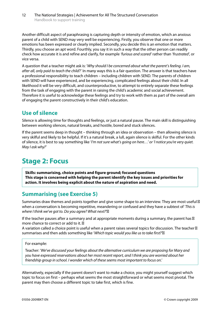Another difficult aspect of paraphrasing is capturing depth or intensity of emotion, which an anxious parent of a child with SEND may very well be experiencing. Firstly, you observe that one or more emotions has been expressed or clearly implied. Secondly, you decide this is an emotion that matters. Thirdly, you choose an apt word. Fourthly, you say it in such a way that the other person can readily check how accurate it is and refine and clarify, for example *'furious and scared'* rather than '*frustrated*', or vice versa.

A question that a teacher might ask is: '*Why should I be concerned about what the parent's feeling. I am, after all, only paid to teach the child*?' In many ways this is a fair question. The answer is that teachers have a professional responsibility to teach children – including children with SEND. The parents of children with SEND will have experienced, and be experiencing, complicated feelings about their child. In all likelihood it will be very difficult, and counterproductive, to attempt to entirely separate these feelings from the task of engaging with the parent in raising the child's academic and social achievement. Therefore it is useful to acknowledge these feelings and try to work with them as part of the overall aim of engaging the parent constructively in their child's education.

### **Use of silence**

Silence is allowing time for thoughts and feelings, or just a natural pause. The main skill is distinguishing between working silences, natural breaks, and hostile, bored and stuck silences.

If the parent seems deep in thought – thinking through an idea or observation – then allowing silence is very skilful and likely to be helpful. If it's a natural break, a lull, again silence is skilful. For the other kinds of silence, it is best to say something like '*I'm not sure what's going on here…' or 'I notice you're very quiet. May I ask why?'* 

## **Stage 2: Focus**

**Skills: summarising, choice points and figure ground; focused questions This stage is concerned with helping the parent identify the key issues and priorities for action. It involves being explicit about the nature of aspiration and need.** 

### **Summarising (see Exercise 5)**

Summaries draw themes and points together and give some shape to an interview. They are most useful when a conversation is becoming repetitive, meandering or confused and they have a subtext of '*This is where I think we've got to. Do you agree? What next?*'

If the teacher pauses after a summary and at appropriate moments during a summary, the parent has more chance to correct or add to it.

A variation called a choice point is useful when a parent raises several topics for discussion. The teacher summarises and then adds something like '*Which topic would you like us to take first?*'

#### For example:

Teacher: '*We've discussed your feelings about the alternative curriculum we are proposing for Mary and you have expressed reservations about her most recent report, and I think you are worried about her friendship group in school. I wonder which of these seems most important to focus on*.'

Alternatively, especially if the parent doesn't want to make a choice, you might yourself suggest which topic to focus on first – perhaps what seems the most straightforward or what seems most pivotal. The parent may then choose a different topic to take first, which is fine.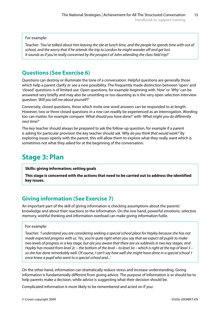For example:

Teacher: *'You've talked about him leaving the site at lunch time, and the people he spends time with out of school, and the worry that if he attends the trip to London he might wander off and get lost. It sounds as if you're really concerned by the prospect of John attending the class field trip?'* 

### **Questions (See Exercise 6)**

Questions can destroy or illuminate the tone of a conversation. Helpful questions are generally those which help a parent clarify or see a new possibility. The frequently made distinction between 'open' and 'closed' questions is of limited use. Open questions, for example beginning with *'How'* or *'Why'* can be answered very briefly and may also be unsettling or too daunting as is the very open selection interview question *'Will you tell me about yourself?'* 

Conversely, closed questions, those which invite one word answers can be responded to at length. However, two or three closed questions in a row can readily be experienced as an interrogation. Wording too can matter, for example compare *'What should you have done?'* with *'What might you do differently next time?'* 

The key teacher should always be prepared to ask the follow-up question, for example if a parent is asking for particular provision the key teacher should ask *'Why do you think that would work?'* By exploring issues openly with the parent, this will allow them to explore what they really want which is sometimes not what they asked for at the beginning of the conversation.

# **Stage 3: Plan**

#### **Skills: giving information; setting goals**

**This stage is concerned with the actions that need to be carried out to address the identified key issues.** 

### **Giving information (See Exercise 7)**

An important part of the skill of giving information is checking assumptions about the parents' knowledge and about their reactions to the information. On the one hand, powerful emotions, selective memory, wishful thinking and information overload can make giving information futile.

#### For example:

Teacher: *'I understand you are considering seeking a special school place for Hayley because she has not made expected progress with us. Yes, you're quite right when you say that we expect all pupils to make two levels of progress in a key stage, but are you aware that there are six sublevels in two key stages, and Hayley has moved from level 2c – the bottom of the level – to level 3a – which is right at the top of level 3 – so she has done remarkably well. Of course, I can't say how well she might have done in a special school. I once knew a pupil who went to a special school and...'* 

On the other hand, information can dramatically reduce stress and increase understanding. Giving information is fundamentally different from giving advice. The purpose of information is or should be to help parents make a decision, while advice is suggesting what their decision should be.

Complicated information is more likely to be remembered and acted on if you: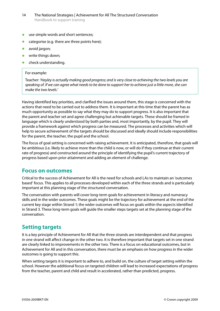- **•** use simple words and short sentences;
- **•** categorise (e.g. there are three points here);
- avoid jargon;
- **•** write things down;
- check understanding.

#### For example:

Teacher: *'Hayley is actually making good progress; and is very close to achieving the two levels you are speaking of. If we can agree what needs to be done to support her to achieve just a little more, she can make the two levels.'* 

Having identified key priorities, and clarified the issues around them, this stage is concerned with the actions that need to be carried out to address them. It is important at this time that the parent has as much opportunity as possible to say what they may do to support progress. It is also important that the parent and teacher set and agree challenging but achievable targets. These should be framed in language which is clearly understood by both parties and, most importantly, by the pupil. They will provide a framework against which progress can be measured. The processes and activities which will help to secure achievement of the targets should be discussed and ideally should include responsibilities for the parent, the teacher, the pupil and the school.

The focus of goal setting is concerned with raising achievement. It is anticipated, therefore, that goals will be ambitious (i.e. likely to achieve more than the child is now, or will do if they continue at their current rate of progress) and constructed around the principle of identifying the pupil's current trajectory of progress based upon prior attainment and adding an element of challenge.

### **Focus on outcomes**

Critical to the success of Achievement for All is the need for schools and LAs to maintain an 'outcomes based' focus. This applies to all processes developed within each of the three strands and is particularly important at this planning stage of the structured conversation.

The conversation with parents will cover long-term goals for achievement in literacy and numeracy skills and in the wider outcomes. These goals might be the trajectory for achievement at the end of the current key stage within Strand 1; the wider outcomes will focus on goals within the aspects identified in Strand 3. These long-term goals will guide the smaller steps targets set at the planning stage of the conversation.

### **Setting targets**

It is a key principle of Achievement for All that the three strands are interdependent and that progress in one strand will affect change in the other two. It is therefore important that targets set in one strand are clearly linked to improvements in the other two. There is a focus on educational outcomes, but in Achievement for All and in this conversation, there must be an emphasis on how progress in the wider outcomes is going to support this.

When setting targets it is important to adhere to, and build on, the culture of target setting within the school. However the additional focus on targeted children will lead to increased expectations of progress from the teacher, parent and child and result in accelerated, rather than predicted, progress.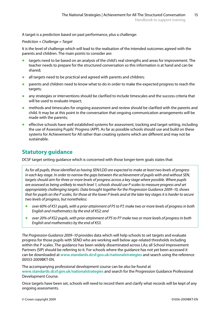A target is a prediction based on past performance, plus a challenge:

#### *Prediction + Challenge = Target*

It is the level of challenge which will lead to the realisation of the intended outcomes agreed with the parents and children. The main points to consider are:

- **•** targets need to be based on an analysis of the child's real strengths and areas for improvement. The teacher needs to prepare for the structured conversation so this information is at hand and can be shared;
- **•** all targets need to be practical and agreed with parents and children;
- parents and children need to know what to do in order to make the expected progress to reach the targets;
- any strategies or interventions should be clarified to include timescales and the success criteria that will be used to evaluate impact;
- **•** methods and timescales for ongoing assessment and review should be clarified with the parents and child. It may be at this point in the conversation that ongoing communication arrangements will be made with the parents;
- effective schools have well established systems for assessment, tracking and target setting, including the use of Assessing Pupils' Progress (APP). As far as possible schools should use and build on these systems for Achievement for All rather than creating systems which are different and may not be sustainable.

### **Statutory guidance**

DCSF target setting guidance which is concerned with those longer-term goals states that:

*As for all pupils, those identified as having SEN/LDD are expected to make at least two levels of progress in each key stage. In order to narrow the gaps between the achievement of pupils with and without SEN, targets should aim for three or more levels of progress across a key stage where possible. Where pupils are assessed as being unlikely to reach level 1, schools should use P scales to measure progress and set appropriately challenging targets. Data brought together for the Progression Guidance 2009–10, shows that for pupils on the P scales, for those at the lower P levels and at the later key stages it is harder to secure two levels of progress, but nonetheless:* 

- **•**  *over 60% of KS1 pupils, with a prior attainment of P5 to P7, make two or more levels of progress in both English and mathematics by the end of KS2; and*
- **•**  *over 20% of KS2 pupils, with prior attainment of P5 to P7 make two or more levels of progress in both English and mathematics by the end of KS3.*

*The Progression Guidance 2009–10* provides data which will help schools to set targets and evaluate progress for those pupils with SEND who are working well below age-related thresholds including within the P scales. The guidance has been widely disseminated across LAs; all School Improvement Partners (SIP) should be referring to it. For schools where the guidance has not yet been accessed it can be downloaded at **[www.standards.dcsf.gov.uk/nationalstrategies](http://www.standards.dcsf.gov.uk/nationalstrategies)** and search using the reference 00553-2009BKT-EN.

The accompanying professional development course can be also be found at **[www.standards.dcsf.gov.uk/nationalstrategies](http://www.standards.dcsf.gov.uk/nationalstrategies)** and search for the Progression Guidance Professional Development Course.

Once targets have been set, schools will need to record them and clarify what records will be kept of any ongoing assessments.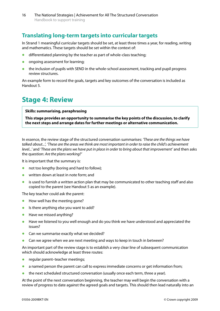### **Translating long-term targets into curricular targets**

In Strand 1 meaningful curricular targets should be set, at least three times a year, for reading, writing and mathematics. These targets should be set within the context of:

- differentiated planning by the teacher as part of whole-class teaching;
- **•**  ongoing assessment for learning;
- the inclusion of pupils with SEND in the whole-school assessment, tracking and pupil progress review structures.

An example form to record the goals, targets and key outcomes of the conversation is included as Handout 5.

## **Stage 4: Review**

#### **Skills: summarising, paraphrasing**

**This stage provides an opportunity to summarise the key points of the discussion, to clarify the next steps and arrange dates for further meetings or alternative communication.** 

In essence, the review stage of the structured conversation summarises: *'These are the things we have talked about...', 'These are the areas we think are most important in order to raise the child's achievement level...'* and *'These are the plans we have put in place in order to bring about that improvement'* and then asks the question: *Are the plans working?'* 

It is important that the summary is:

- **•** not too lengthy (boring and hard to follow);
- written down at least in note form; and
- **•** is used to furnish a written action plan that may be communicated to other teaching staff and also copied to the parent (see Handout 5 as an example).

The key teacher could ask the parent:

- **•** How well has the meeting gone?
- **•** Is there anything else you want to add?
- **•** Have we missed anything?
- **•** Have we listened to you well enough and do you think we have understood and appreciated the issues?
- **•** Can we summarise exactly what we decided?
- **•** Can we agree when we are next meeting and ways to keep in touch in between?

An important part of the review stage is to establish a very clear line of subsequent communication which should acknowledge at least three routes:

- **•** regular parent–teacher meetings;
- **•** a named person the parent can call to express immediate concerns or get information from;
- the next scheduled structured conversation (usually once each term, three a year).

At the point of the next conversation beginning, the teacher may well begin the conversation with a review of progress to date against the agreed goals and targets. This should then lead naturally into an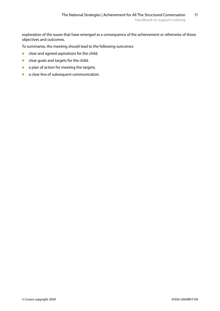exploration of the issues that have emerged as a consequence of the achievement or otherwise of those objectives and outcomes.

To summarise, the meeting should lead to the following outcomes:

- **•** clear and agreed aspirations for the child;
- **•** clear goals and targets for the child;
- **•** a plan of action for meeting the targets;
- **•** a clear line of subsequent communication.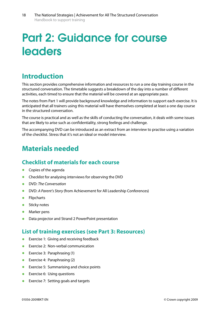# Part 2: Guidance for course leaders

## **Introduction**

This section provides comprehensive information and resources to run a one day training course in the structured conversation. The timetable suggests a breakdown of the day into a number of different activities, each timed to ensure that the material will be covered at an appropriate pace.

The notes from Part 1 will provide background knowledge and information to support each exercise. It is anticipated that all trainers using this material will have themselves completed at least a one day course in the structured conversation.

The course is practical and as well as the skills of conducting the conversation, it deals with some issues that are likely to arise such as confidentiality, strong feelings and challenge.

The accompanying DVD can be introduced as an extract from an interview to practise using a variation of the checklist. Stress that it's not an ideal or model interview.

## **Materials needed**

### **Checklist of materials for each course**

- **•**  Copies of the agenda
- **•** Checklist for analysing interviews for observing the DVD
- **•**  DVD: *The Conversation*
- **•**  DVD: *A Parent's Story* (from Achievement for All Leadership Conferences)
- **•**  Flipcharts
- **•** Sticky notes
- **•**  Marker pens
- Data projector and Strand 2 PowerPoint presentation

### **List of training exercises (see Part 3: Resources)**

- **•** Exercise 1: Giving and receiving feedback
- **•**  Exercise 2: Non-verbal communication
- **•**  Exercise 3: Paraphrasing (1)
- **•** Exercise 4: Paraphrasing (2)
- **•** Exercise 5: Summarising and choice points
- **•** Exercise 6: Using questions
- **Exercise 7: Setting goals and targets**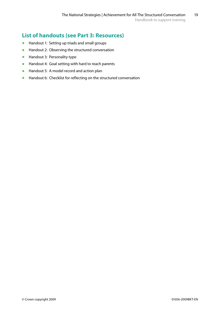### **List of handouts (see Part 3: Resources)**

- **•**  Handout 1: Setting up triads and small groups
- **•** Handout 2: Observing the structured conversation
- **•**  Handout 3: Personality type
- **•**  Handout 4: Goal setting with hard to reach parents
- **•**  Handout 5: A model record and action plan
- **•** Handout 6: Checklist for reflecting on the structured conversation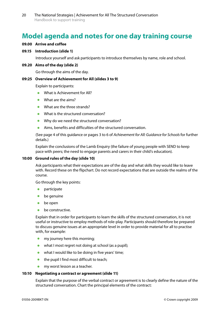# **Model agenda and notes for one day training course**

#### **09.00 Arrive and coffee**

#### **09.15 Introduction (slide 1)**

Introduce yourself and ask participants to introduce themselves by name, role and school.

#### **09.20 Aims of the day (slide 2)**

Go through the aims of the day.

#### **09:25 Overview of Achievement for All (slides 3 to 9)**

Explain to participants:

- **•** What is Achievement for All?
- **•**  What are the aims?
- **What are the three strands?**
- **•**  What is the structured conversation?
- **•** Why do we need the structured conversation?
- **•**  Aims, benefits and difficulties of the structured conversation.

(See page 4 of this guidance or pages 3 to 6 of *Achievement for All: Guidance for Schools* for further details.)

Explain the conclusions of the Lamb Enquiry (the failure of young people with SEND to keep pace with peers; the need to engage parents and carers in their child's education).

#### **10:00 Ground rules of the day (slide 10)**

Ask participants what their expectations are of the day and what skills they would like to leave with. Record these on the flipchart. Do not record expectations that are outside the realms of the course.

Go through the key points:

- **•**  participate
- **be** genuine
- **be** open
- be constructive.

Explain that in order for participants to learn the skills of the structured conversation, it is not useful or instructive to employ methods of role-play. Participants should therefore be prepared to discuss genuine issues at an appropriate level in order to provide material for all to practise with, for example:

- my journey here this morning;
- **•** what I most regret not doing at school (as a pupil);
- what I would like to be doing in five years' time;
- **•** the pupil I find most difficult to teach;
- **•** my worst lesson as a teacher.

#### **10:10 Negotiating a contract or agreement (slide 11)**

Explain that the purpose of the verbal contract or agreement is to clearly define the nature of the structured conversation. Chart the principal elements of the contract: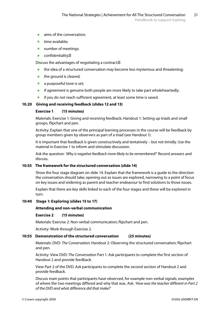- **•**  aims of the conversation;
- **•** time available:
- **•** number of meetings:
- **•**  confidentiality.

Discuss the advantages of negotiating a contract:

- **•** the idea of a structured conversation may become less mysterious and threatening;
- **•** the ground is cleared;
- **•** a purposeful tone is set:
- **•** if agreement is genuine both people are more likely to take part wholeheartedly;
- **if you do not reach sufficient agreement, at least some time is saved.**

#### **10.20 Giving and receiving feedback (slides 12 and 13)**

#### **Exercise 1 (15 minutes)**

Materials: Exercise 1: Giving and receiving feedback; Handout 1: Setting up triads and small groups, flipchart and pen.

Activity: Explain that one of the principal learning processes in the course will be feedback by group members given by observers as part of a triad (see Handout 1).

It is important that feedback is given constructively and tentatively – but not timidly. Use the material in Exercise 1 to inform and stimulate discussion.

Ask the question: *'Why is negative feedback more likely to be remembered?'* Record answers and discuss.

#### **10:35 The framework for the structured conversation (slide 14)**

Show the four stage diagram on slide 14. Explain that the framework is a guide to the direction the conversation should take; opening out as issues are explored, narrowing to a point of focus on key issues and widening as parent and teacher endeavour to find solutions to those issues.

Explain that there are key skills linked to each of the four stages and these will be explored in turn.

#### **10:40 Stage 1: Exploring (slides 15 to 17)**

#### **Attending and non-verbal communication**

#### **Exercise 2 (15 minutes)**

Materials: Exercise 2: Non-verbal communication; flipchart and pen.

Activity: Work through Exercise 2.

#### **10:55 Demonstration of the structured conversation (25 minutes)**

Materials: DVD: *The Conversation*; Handout 2: Observing the structured conversation; flipchart and pen.

Activity: View DVD: *The Conversation* Part 1. Ask participants to complete the first section of Handout 2 and provide feedback.

View Part 2 of the DVD. Ask participants to complete the second section of Handout 2 and provide feedback.

Discuss main points that participants have observed, for example non-verbal signals; examples of where the two meetings differed and why that was. Ask: *'How was the teacher different in Part 2 of the DVD and what difference did that make?'*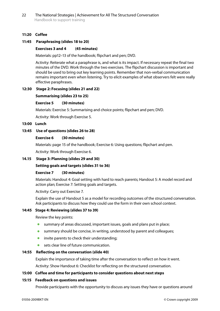#### **11:20 Coffee**

#### **11:45 Paraphrasing (slides 18 to 20)**

#### **Exercises 3 and 4 (45 minutes)**

Materials: pp12–13 of the handbook; flipchart and pen; DVD.

Activity: Reiterate what a paraphrase is, and what is its impact. If necessary repeat the final two minutes of the DVD. Work through the two exercises. The flipchart discussion is important and should be used to bring out key learning points. Remember that non-verbal communication remains important even when listening. Try to elicit examples of what observers felt were really effective paraphrases.

#### **12:30 Stage 2: Focusing (slides 21 and 22)**

#### **Summarising (slides 23 to 25)**

#### **Exercise 5 (30 minutes)**

Materials: Exercise 5: Summarising and choice points; flipchart and pen; DVD.

Activity: Work through Exercise 5.

#### **13:00 Lunch**

#### **13:45 Use of questions (slides 26 to 28)**

#### **Exercise 6 (30 minutes)**

Materials: page 15 of the handbook; Exercise 6: Using questions; flipchart and pen.

Activity: Work through Exercise 6.

#### **14.15 Stage 3: Planning (slides 29 and 30)**

#### **Setting goals and targets (slides 31 to 36)**

#### **Exercise 7 (30 minutes)**

Materials: Handout 4: Goal setting with hard to reach parents; Handout 5: A model record and action plan; Exercise 7: Setting goals and targets.

Activity: Carry out Exercise 7.

Explain the use of Handout 5 as a model for recording outcomes of the structured conversation. Ask participants to discuss how they could use the form in their own school context.

#### **14:45 Stage 4: Reviewing (slides 37 to 39)**

Review the key points:

- **•** summary of areas discussed, important issues, goals and plans put in place;
- **•** summary should be concise, in writing, understood by parent and colleagues;
- **•** invite parents to check their understanding;
- **•** sets clear line of future communication.

#### **14:55 Reflecting on the conversation (slide 40)**

Explain the importance of taking time after the conversation to reflect on how it went.

Activity: Show Handout 6: Checklist for reflecting on the structured conversation.

#### **15:00 Coffee and time for participants to consider questions about next steps**

#### **15:15 Feedback on questions and issues**

Provide participants with the opportunity to discuss any issues they have or questions around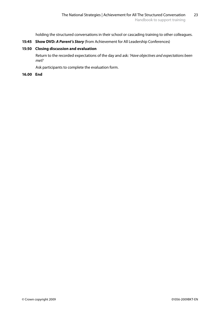holding the structured conversations in their school or cascading training to other colleagues.

#### **15:45 Show DVD:** *A Parent's Story* (from Achievement for All Leadership Conferences)

#### **15:50 Closing discussion and evaluation**

Return to the recorded expectations of the day and ask: *'Have objectives and expectations been met?* 

Ask participants to complete the evaluation form.

#### **16.00 End**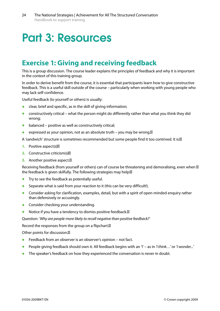# Part 3: Resources

## **Exercise 1: Giving and receiving feedback**

This is a group discussion. The course leader explains the principles of feedback and why it is important in the context of this training group.

In order to derive benefit from the course, it is essential that participants learn how to give constructive feedback. This is a useful skill outside of the course – particularly when working with young people who may lack self-confidence.

Useful feedback (to yourself or others) is usually:

- **•** clear, brief and specific, as in the skill of giving information;
- **•** constructively critical what the person might do differently rather than what you think they did wrong;
- balanced positive as well as constructively critical;
- expressed as your opinion, not as an absolute truth you may be wrong.

A 'sandwich' structure is sometimes recommended but some people find it too contrived. It is:

- **1.** Positive aspect(s)
- **2.** Constructive criticism(s)
- **3.** Another positive aspect.

Receiving feedback (from yourself or others) can of course be threatening and demoralising, even when the feedback is given skilfully. The following strategies may help:

- **•** Try to see the feedback as potentially useful.
- **•** Separate what is said from your reaction to it (this can be very difficult!).
- **•** Consider asking for clarification, examples, detail, but with a spirit of open-minded enquiry rather than defensively or accusingly.
- **•** Consider checking your understanding.
- **•** Notice if you have a tendency to dismiss positive feedback.

Question: *'Why are people more likely to recall negative than positive feedback?'* 

Record the responses from the group on a flipchart.

Other points for discussion.

- **•** Feedback from an observer is an observer's opinion not fact.
- **•**  People giving feedback should own it. All feedback begins with an 'I' as in *'I think…'* or *'I wonder...'*
- The speaker's feedback on how they experienced the conversation is never in doubt.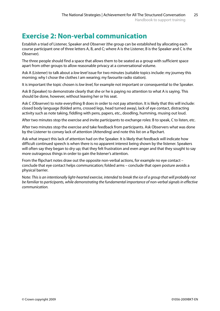# **Exercise 2: Non-verbal communication**

Establish a triad of Listener, Speaker and Observer (the group can be established by allocating each course participant one of three letters A, B, and C; where A is the Listener, B is the Speaker and C is the Observer).

The three people should find a space that allows them to be seated as a group with sufficient space apart from other groups to allow reasonable privacy at a conversational volume.

Ask A (Listener) to talk about a *low level* issue for two minutes (suitable topics include: my journey this morning; why I chose the clothes I am wearing; my favourite radio station).

It is important the topic chosen is *low level*, for example not important or consequential to the Speaker.

Ask B (Speaker) to demonstrate clearly that she or he is paying no attention to what A is saying. This should be done, however, without leaving her or his seat.

Ask C (Observer) to note everything B does in order to not pay attention. It is likely that this will include: closed body language (folded arms, crossed legs, head turned away), lack of eye contact, distracting activity such as note taking, fiddling with pens, papers, etc., doodling, humming, musing out loud.

After two minutes stop the exercise and invite participants to exchange roles: B to speak, C to listen, etc.

After two minutes stop the exercise and take feedback from participants. Ask Observers what was done by the Listener to convey lack of attention (Attending) and note this list on a flipchart.

Ask what impact this lack of attention had on the Speaker. It is likely that feedback will indicate how difficult continued speech is when there is no apparent interest being shown by the listener. Speakers will often say they began to dry up; that they felt frustration and even anger and that they sought to say more outrageous things in order to gain the listener's attention.

From the flipchart notes draw out the opposite non-verbal actions, for example no eye contact – conclude that eye contact helps communication; folded arms – conclude that open posture avoids a physical barrier.

Note: *This is an intentionally light-hearted exercise, intended to break the ice of a group that will probably not be familiar to participants, while demonstrating the fundamental importance of non-verbal signals in effective communication.*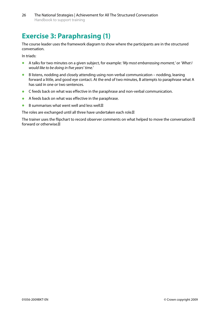# **Exercise 3: Paraphrasing (1)**

The course leader uses the framework diagram to show where the participants are in the structured conversation.

In triads:

- **•**  A talks for two minutes on a given subject, for example: *'My most embarrassing moment,'* or *'What I would like to be doing in five years' time.'*
- **•**  B listens, nodding and closely attending using non-verbal communication nodding, leaning forward a little, and good eye contact. At the end of two minutes, B attempts to paraphrase what A has said in one or two sentences.
- **•** C feeds back on what was effective in the paraphrase and non-verbal communication.
- **•**  A feeds back on what was effective in the paraphrase.
- **•** B summarises what went well and less well.

The roles are exchanged until all three have undertaken each role.

The trainer uses the flipchart to record observer comments on what helped to move the conversation forward or otherwise.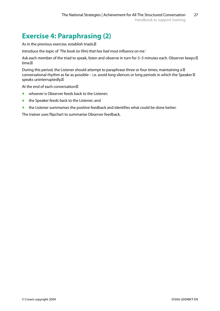# **Exercise 4: Paraphrasing (2)**

As in the previous exercise, establish triads.

Introduce the topic of *'The book (or film) that has had most influence on me.'* 

Ask each member of the triad to speak, listen and observe in turn for 3–5 minutes each. Observer keeps time.

During this period, the Listener should attempt to paraphrase three or four times; maintaining a conversational rhythm as far as possible – i.e. avoid long silences or long periods in which the Speaker speaks uninterruptedly.

At the end of each conversation:

- **•** whoever is Observer feeds back to the Listener;
- **•** the Speaker feeds back to the Listener; and
- **•** the Listener summarises the positive feedback and identifies what could be done better.

The trainer uses flipchart to summarise Observer feedback.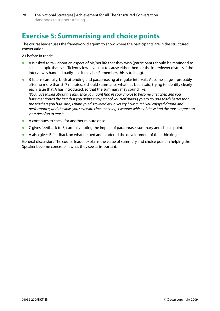# **Exercise 5: Summarising and choice points**

The course leader uses the framework diagram to show where the participants are in the structured conversation.

As before in triads:

- **•**  A is asked to talk about an aspect of his/her life that they wish (participants should be reminded to select a topic that is sufficiently low-level not to cause either them or the interviewer distress if the interview is handled badly – as it may be. Remember, this is training).
- **•** B listens carefully, both attending and paraphrasing at regular intervals. At some stage probably after no more than 5–7 minutes, B should summarise what has been said, trying to identify clearly each issue that A has introduced; so that the summary may sound like: *'You have talked about the influence your aunt had in your choice to become a teacher, and you have mentioned the fact that you didn't enjoy school yourself driving you to try and teach better than the teachers you had. Also, I think you discovered at university how much you enjoyed drama and performance, and the links you saw with class teaching. I wonder which of these had the most impact on your decision to teach.'*
- A continues to speak for another minute or so.
- **•**  C gives feedback to B, carefully noting the impact of paraphrase, summary and choice point.
- **•**  A also gives B feedback on what helped and hindered the development of their thinking.

General discussion: The course leader explains the value of summary and choice point in helping the Speaker become concrete in what they see as important.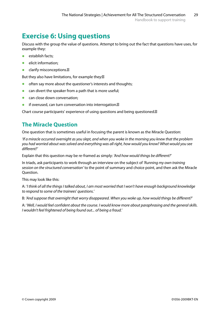# **Exercise 6: Using questions**

Discuss with the group the value of questions. Attempt to bring out the fact that questions have uses, for example they:

- **establish facts:**
- **•**  elicit information;
- **•** clarify misconceptions.

But they also have limitations, for example they:

- often say more about the questioner's interests and thoughts;
- **•** can divert the speaker from a path that is more useful;
- **•** can close down conversation;
- **if overused, can turn conversation into interrogation.**

Chart course participants' experience of using questions and being questioned.

### **The Miracle Question**

One question that is sometimes useful in focusing the parent is known as the Miracle Question:

*'If a miracle occurred overnight as you slept, and when you woke in the morning you knew that the problem you had worried about was solved and everything was all right, how would you know? What would you see different?'* 

Explain that this question may be re-framed as simply: *'And how would things be different?'* 

In triads, ask participants to work through an interview on the subject of *'Running my own training session on the structured conversation'* to the point of summary and choice point, and then ask the Miracle Question.

This may look like this:

A: *'I think of all the things I talked about, I am most worried that I won't have enough background knowledge to respond to some of the trainees' questions.'* 

B: *'And suppose that overnight that worry disappeared. When you woke up, how would things be different?'* 

A: *'Well, I would feel confident about the course. I would know more about paraphrasing and the general skills. I wouldn't feel frightened of being found out... of being a fraud.'*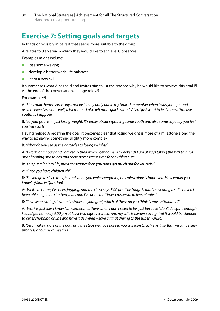# **Exercise 7: Setting goals and targets**

In triads or possibly in pairs if that seems more suitable to the group:

A relates to B an area in which they would like to achieve. C observes.

Examples might include:

- **•** lose some weight;
- develop a better work-life balance;
- learn a new skill.

B summarises what A has said and invites him to list the reasons why he would like to achieve this goal. At the end of the conversation, change roles.

For example:

A: *'I feel quite heavy some days; not just in my body but in my brain. I remember when I was younger and used to exercise a lot – well, a lot more – I also felt more quick witted. Also, I just want to feel more attractive, youthful, I suppose.'* 

B: *'So your goal isn't just losing weight. It's really about regaining some youth and also some capacity you feel you have lost?'* 

Having helped A redefine the goal, it becomes clear that losing weight is more of a milestone along the way to achieving something slightly more complex.

B: *'What do you see as the obstacles to losing weight?'* 

A: *'I work long hours and I am really tired when I get home. At weekends I am always taking the kids to clubs and shopping and things and there never seems time for anything else.'* 

B: *'You put a lot into life, but it sometimes feels you don't get much out for yourself?'* 

A: *'Once you have children eh!'* 

B: *'So you go to sleep tonight, and when you wake everything has miraculously improved. How would you know?' (Miracle Question)* 

A: *'Well, I'm home, I've been jogging, and the clock says 5.00 pm. The fridge is full. I'm wearing a suit I haven't been able to get into for two years and I've done the Times crossword in five minutes.'* 

B: *'If we were writing down milestones to your goal, which of these do you think is most attainable?'* 

A: *'Work is just silly. I know I am sometimes there when I don't need to be, just because I don't delegate enough. I could get home by 5.00 pm at least two nights a week. And my wife is always saying that it would be cheaper to order shopping online and have it delivered – save all that driving to the supermarket.'* 

B: *'Let's make a note of the goal and the steps we have agreed you will take to achieve it, so that we can review progress at our next meeting.'*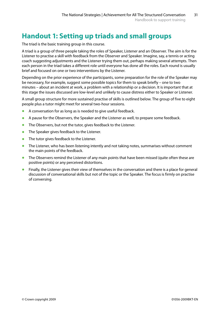# **Handout 1: Setting up triads and small groups**

The triad is the basic training group in this course.

A triad is a group of three people taking the roles of Speaker, Listener and an Observer. The aim is for the Listener to practise a skill with feedback from the Observer and Speaker. Imagine, say, a tennis or acting coach suggesting adjustments and the Listener trying them out, perhaps making several attempts. Then each person in the triad takes a different role until everyone has done all the roles. Each round is usually brief and focused on one or two interventions by the Listener.

Depending on the prior experience of the participants, some preparation for the role of the Speaker may be necessary, for example, suggest some possible topics for them to speak briefly – one to two minutes – about an incident at work, a problem with a relationship or a decision. It is important that at this stage the issues discussed are low-level and unlikely to cause distress either to Speaker or Listener.

A small group structure for more sustained practise of skills is outlined below. The group of five to eight people plus a tutor might meet for several two-hour sessions.

- A conversation for as long as is needed to give useful feedback.
- **•** A pause for the Observers, the Speaker and the Listener as well, to prepare some feedback.
- **•** The Observers, but not the tutor, gives feedback to the Listener.
- **•** The Speaker gives feedback to the Listener.
- **•** The tutor gives feedback to the Listener.
- **•** The Listener, who has been listening intently and not taking notes, summarises without comment the main points of the feedback.
- The Observers remind the Listener of any main points that have been missed (quite often these are positive points) or any perceived distortions.
- **•** Finally, the Listener gives their view of themselves in the conversation and there is a place for general discussion of conversational skills but not of the topic or the Speaker. The focus is firmly on practise of conversing.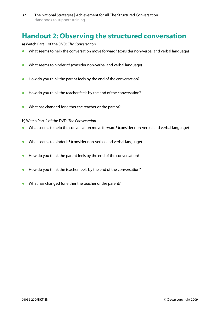# **Handout 2: Observing the structured conversation**

a) Watch Part 1 of the DVD: *The Conversation* 

- What seems to help the conversation move forward? (consider non-verbal and verbal language)
- What seems to hinder it? (consider non-verbal and verbal language)
- **•** How do you think the parent feels by the end of the conversation?
- **•** How do you think the teacher feels by the end of the conversation?
- **•**  What has changed for either the teacher or the parent?
- b) Watch Part 2 of the DVD: *The Conversation*
- What seems to help the conversation move forward? (consider non-verbal and verbal language)
- What seems to hinder it? (consider non-verbal and verbal language)
- **•** How do you think the parent feels by the end of the conversation?
- **•** How do you think the teacher feels by the end of the conversation?
- What has changed for either the teacher or the parent?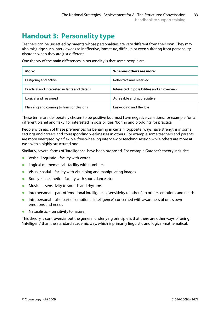# **Handout 3: Personality type**

Teachers can be unsettled by parents whose personalities are very different from their own. They may also misjudge such interviewees as ineffective, immature, difficult, or even suffering from personality disorder, when they are just different.

| More:                                         | Whereas others are more:                    |
|-----------------------------------------------|---------------------------------------------|
| Outgoing and active                           | Reflective and reserved                     |
| Practical and interested in facts and details | Interested in possibilities and an overview |
| Logical and reasoned                          | Agreeable and appreciative                  |
| Planning and coming to firm conclusions       | Easy-going and flexible                     |

One theory of the main differences in personality is that some people are:

These terms are deliberately chosen to be positive but most have negative variations, for example, 'on a different planet and flaky' for interested in possibilities, 'boring and plodding' for practical.

People with each of these preferences for behaving in certain (opposite) ways have strengths in some settings and careers and corresponding weaknesses in others. For example some teachers and parents are more energised by a flexible, free-wheeling interview or teaching session while others are more at ease with a highly-structured one.

Similarly, several forms of 'intelligence' have been proposed. For example Gardner's theory includes:

- **•**  Verbal-linguistic facility with words
- **•**  Logical-mathematical –facility with numbers
- **•**  Visual-spatial facility with visualising and manipulating images
- **•** Bodily-kinaesthetic facility with sport, dance etc.
- **•**  Musical sensitivity to sounds and rhythms
- **•** Interpersonal part of 'emotional intelligence', 'sensitivity to others', to others' emotions and needs
- **•** Intrapersonal also part of 'emotional intelligence', concerned with awareness of one's own emotions and needs
- Naturalistic sensitivity to nature.

This theory is controversial but the general underlying principle is that there are other ways of being 'intelligent' than the standard academic way, which is primarily linguistic and logical-mathematical.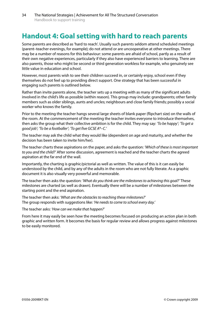# **Handout 4: Goal setting with hard to reach parents**

Some parents are described as 'hard to reach'. Usually such parents seldom attend scheduled meetings (parent–teacher evenings, for example); do not attend or are uncooperative at other meetings. There may be a number of reasons for this behaviour: some parents are afraid of school, partly as a result of their own negative experiences, particularly if they also have experienced barriers to learning. There are also parents, those who might be second or third generation workless for example, who genuinely see little value in education and school.

However, most parents wish to see their children succeed in, or certainly enjoy, school even if they themselves do not feel up to providing direct support. One strategy that has been successful in engaging such parents is outlined below.

Rather than invite parents alone, the teacher sets up a meeting with as many of the significant adults involved in the child's life as possible (within reason). This group may include: grandparents; other family members such as older siblings, aunts and uncles; neighbours and close family friends; possibly a social worker who knows the family.

Prior to the meeting the teacher hangs several large sheets of blank paper (flipchart size) on the walls of the room. At the commencement of the meeting the teacher invites everyone to introduce themselves, then asks the group what their collective ambition is for the child. They may say: *'To be happy'*; *'To get a good job'*; *'To be a footballer'*; *'To get five GCSE A\*–C.'* 

The teacher may ask the child what they would like (dependent on age and maturity, and whether the decision has been taken to invite him/her).

The teacher charts these aspirations on the paper, and asks the question: *'Which of these is most important to you and the child?'* After some discussion, agreement is reached and the teacher charts the agreed aspiration at the far end of the wall.

Importantly, the charting is graphic/pictorial as well as written. The value of this is it can easily be understood by the child, and by any of the adults in the room who are not fully literate. As a graphic document it is also visually very powerful and memorable.

The teacher then asks the question: *'What do you think are the milestones to achieving this goal?'* These milestones are charted (as well as drawn). Eventually there will be a number of milestones between the starting point and the end aspiration.

The teacher then asks: *'What are the obstacles to reaching these milestones?'* The group responds with suggestions like: *'He needs to come to school every day.'* 

The teacher asks: *'How can we make that happen?'* 

From here it may easily be seen how the meeting becomes focused on producing an action plan in both graphic and written form. It becomes the basis for regular review and allows progress against milestones to be easily monitored.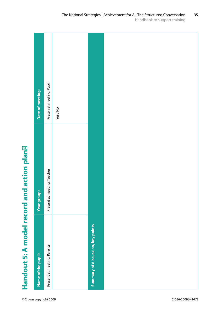|                                           | Date of meeting:   | Presen at meeting: Pupil    | Yes/No |                                   |  |
|-------------------------------------------|--------------------|-----------------------------|--------|-----------------------------------|--|
|                                           | <b>Year group:</b> | Present at meeting: Teacher |        |                                   |  |
| Handout 5: A model record and action plan | Name of the pupil: | Present at meeting: Parents |        | Summary of discussion, key points |  |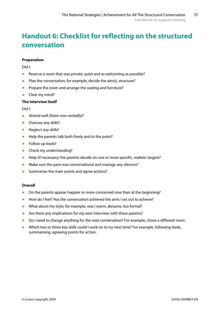# **Handout 6: Checklist for reflecting on the structured conversation**

#### **Preparation**

Did I:

- **•** Reserve a room that was private, quiet and as welcoming as possible?
- **•** Plan the conversation, for example, decide the aim(s), structure?
- **•** Prepare the room and arrange the seating and furniture?
- **•**  Clear my mind?

#### **The interview itself**

Did I:

- **•** Attend well (listen non-verbally)?
- **•** Overuse any skills?
- Neglect any skills?
- **•**  Help the parents talk both freely and to the point?
- **•**  Follow up leads?
- **•** Check my understanding?
- **•** Help (if necessary) the parents decide on one or more specific, realistic targets?
- **•** Make sure the pace was conversational and manage any silences?
- **•** Summarise the main points and agree actions?

#### **Overall**

- **•** Do the parents appear happier or more concerned now than at the beginning?
- **•**  How do I feel? Has the conversation achieved the aims I set out to achieve?
- **•** What about my style, for example, was I warm, abrasive, too formal?
- **•** Are there any implications for my next interview with these parents?
- **•** Do I need to change anything for the next conversation? For example, chose a different room.
- **•** Which two or three key skills could I work on to try next time? For example, following leads, summarising, agreeing points for action.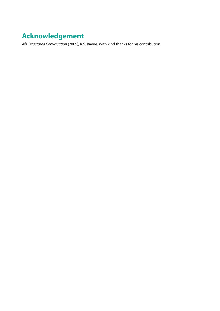# **Acknowledgement**

*AfA Structured Conversation* (2009), R.S. Bayne. With kind thanks for his contribution.